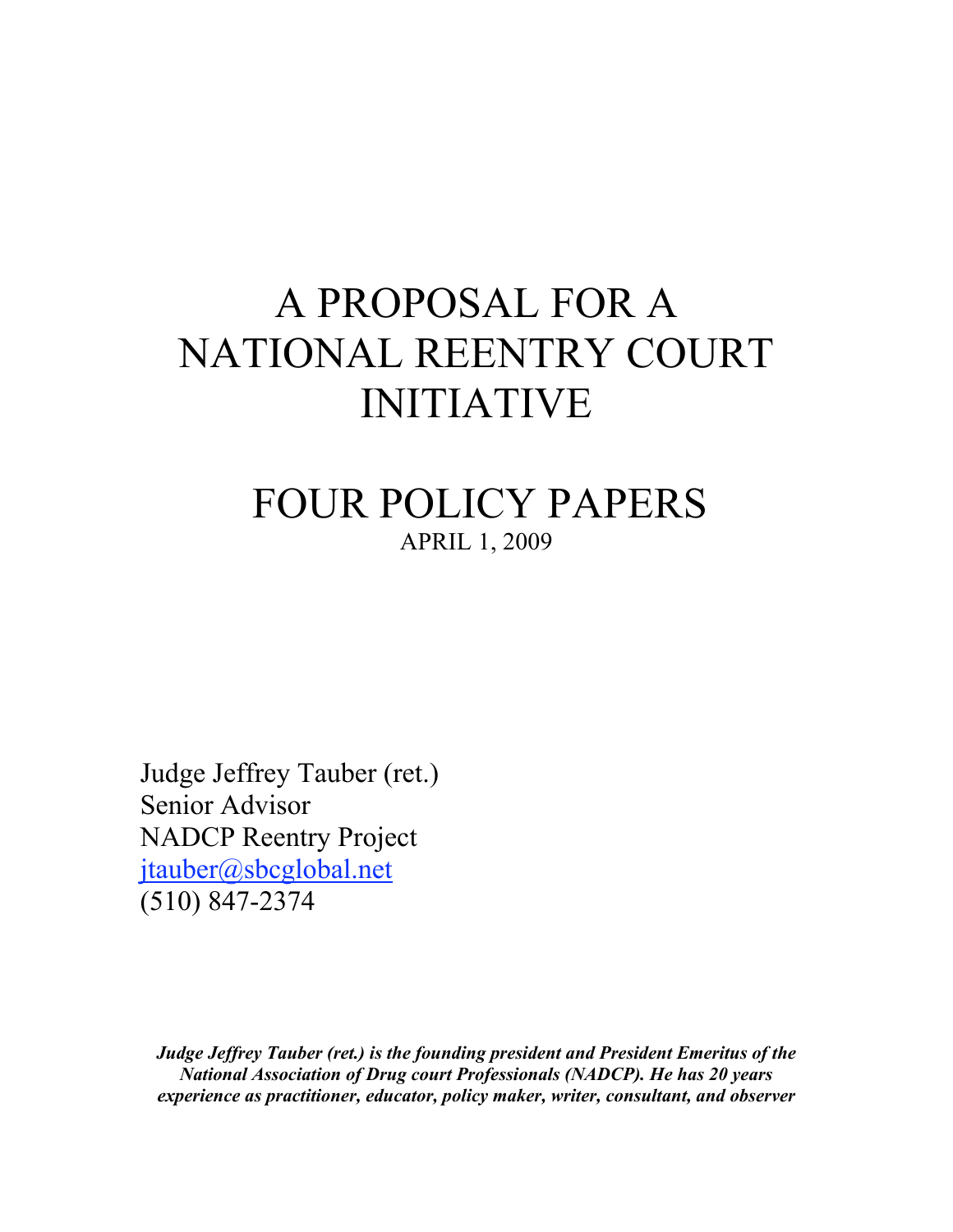# A PROPOSAL FOR A NATIONAL REENTRY COURT INITIATIVE

# FOUR POLICY PAPERS APRIL 1, 2009

Judge Jeffrey Tauber (ret.) Senior Advisor NADCP Reentry Project jtauber@sbcglobal.net (510) 847-2374

*Judge Jeffrey Tauber (ret.) is the founding president and President Emeritus of the National Association of Drug court Professionals (NADCP). He has 20 years experience as practitioner, educator, policy maker, writer, consultant, and observer*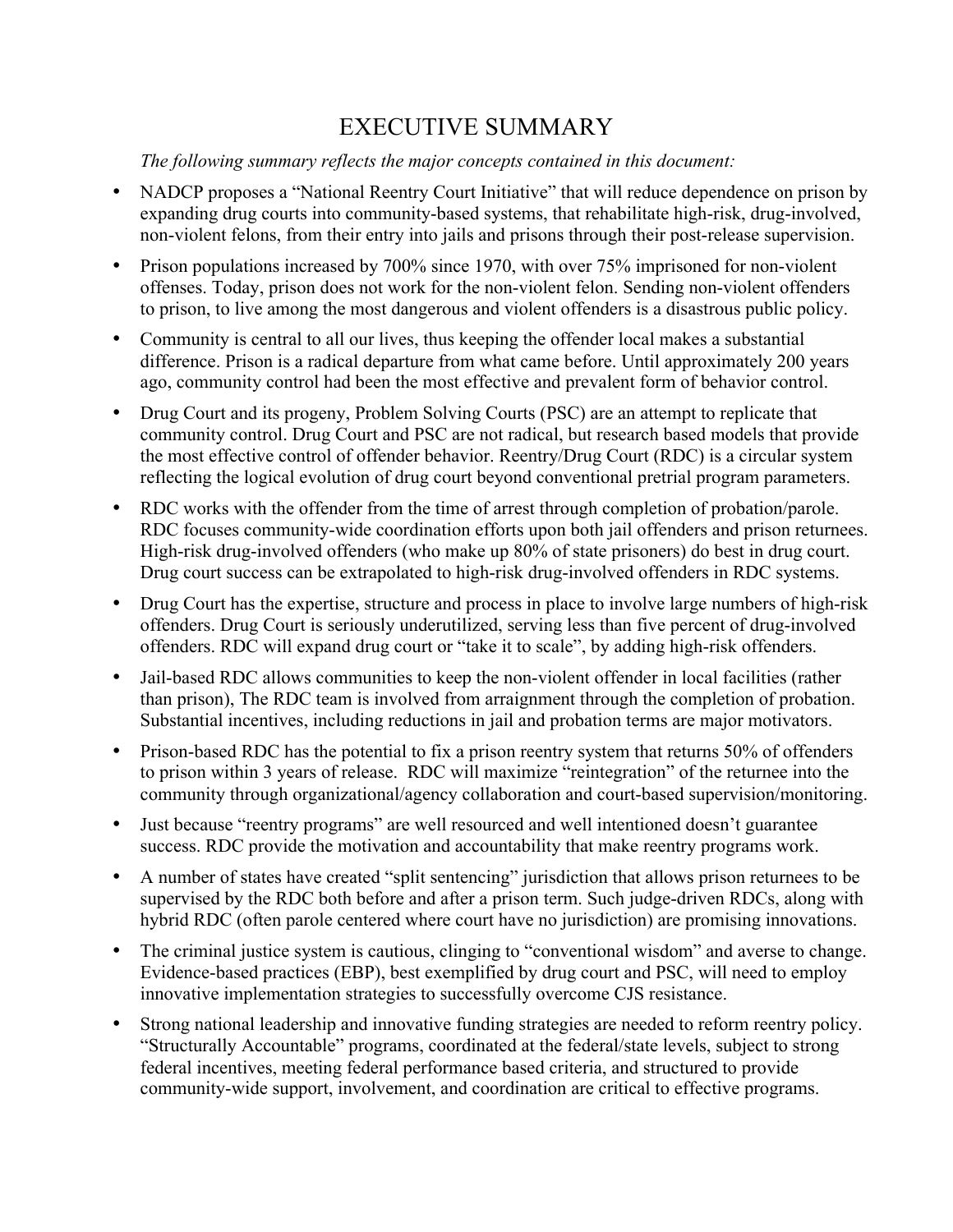# EXECUTIVE SUMMARY

*The following summary reflects the major concepts contained in this document:*

- NADCP proposes a "National Reentry Court Initiative" that will reduce dependence on prison by expanding drug courts into community-based systems, that rehabilitate high-risk, drug-involved, non-violent felons, from their entry into jails and prisons through their post-release supervision.
- Prison populations increased by 700% since 1970, with over 75% imprisoned for non-violent offenses. Today, prison does not work for the non-violent felon. Sending non-violent offenders to prison, to live among the most dangerous and violent offenders is a disastrous public policy.
- Community is central to all our lives, thus keeping the offender local makes a substantial difference. Prison is a radical departure from what came before. Until approximately 200 years ago, community control had been the most effective and prevalent form of behavior control.
- Drug Court and its progeny, Problem Solving Courts (PSC) are an attempt to replicate that community control. Drug Court and PSC are not radical, but research based models that provide the most effective control of offender behavior. Reentry/Drug Court (RDC) is a circular system reflecting the logical evolution of drug court beyond conventional pretrial program parameters.
- RDC works with the offender from the time of arrest through completion of probation/parole. RDC focuses community-wide coordination efforts upon both jail offenders and prison returnees. High-risk drug-involved offenders (who make up 80% of state prisoners) do best in drug court. Drug court success can be extrapolated to high-risk drug-involved offenders in RDC systems.
- Drug Court has the expertise, structure and process in place to involve large numbers of high-risk offenders. Drug Court is seriously underutilized, serving less than five percent of drug-involved offenders. RDC will expand drug court or "take it to scale", by adding high-risk offenders.
- Jail-based RDC allows communities to keep the non-violent offender in local facilities (rather than prison), The RDC team is involved from arraignment through the completion of probation. Substantial incentives, including reductions in jail and probation terms are major motivators.
- Prison-based RDC has the potential to fix a prison reentry system that returns 50% of offenders to prison within 3 years of release. RDC will maximize "reintegration" of the returnee into the community through organizational/agency collaboration and court-based supervision/monitoring.
- Just because "reentry programs" are well resourced and well intentioned doesn't guarantee success. RDC provide the motivation and accountability that make reentry programs work.
- A number of states have created "split sentencing" jurisdiction that allows prison returnees to be supervised by the RDC both before and after a prison term. Such judge-driven RDCs, along with hybrid RDC (often parole centered where court have no jurisdiction) are promising innovations.
- The criminal justice system is cautious, clinging to "conventional wisdom" and averse to change. Evidence-based practices (EBP), best exemplified by drug court and PSC, will need to employ innovative implementation strategies to successfully overcome CJS resistance.
- Strong national leadership and innovative funding strategies are needed to reform reentry policy. "Structurally Accountable" programs, coordinated at the federal/state levels, subject to strong federal incentives, meeting federal performance based criteria, and structured to provide community-wide support, involvement, and coordination are critical to effective programs.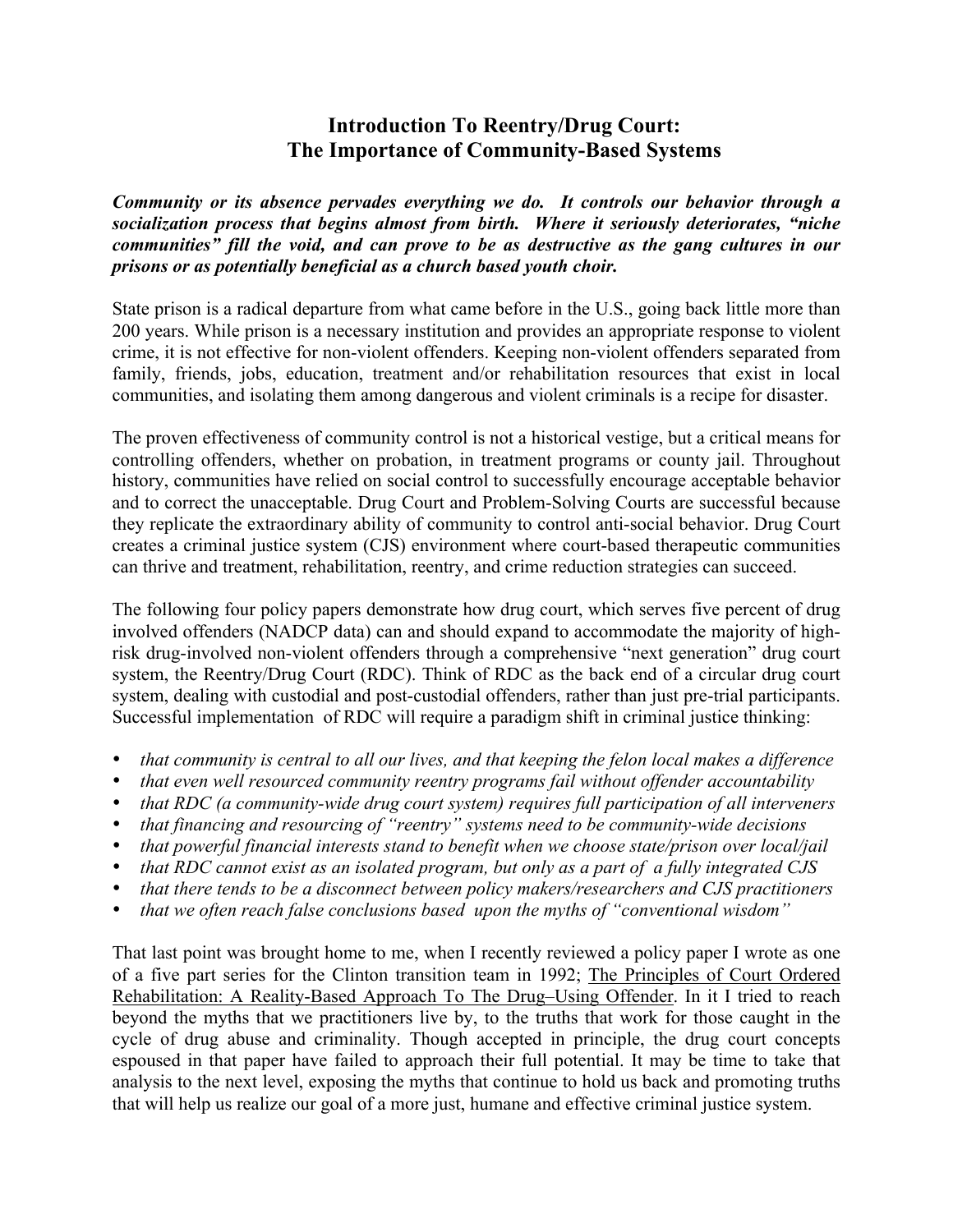# **Introduction To Reentry/Drug Court: The Importance of Community-Based Systems**

*Community or its absence pervades everything we do. It controls our behavior through a socialization process that begins almost from birth. Where it seriously deteriorates, "niche communities" fill the void, and can prove to be as destructive as the gang cultures in our prisons or as potentially beneficial as a church based youth choir.*

State prison is a radical departure from what came before in the U.S., going back little more than 200 years. While prison is a necessary institution and provides an appropriate response to violent crime, it is not effective for non-violent offenders. Keeping non-violent offenders separated from family, friends, jobs, education, treatment and/or rehabilitation resources that exist in local communities, and isolating them among dangerous and violent criminals is a recipe for disaster.

The proven effectiveness of community control is not a historical vestige, but a critical means for controlling offenders, whether on probation, in treatment programs or county jail. Throughout history, communities have relied on social control to successfully encourage acceptable behavior and to correct the unacceptable. Drug Court and Problem-Solving Courts are successful because they replicate the extraordinary ability of community to control anti-social behavior. Drug Court creates a criminal justice system (CJS) environment where court-based therapeutic communities can thrive and treatment, rehabilitation, reentry, and crime reduction strategies can succeed.

The following four policy papers demonstrate how drug court, which serves five percent of drug involved offenders (NADCP data) can and should expand to accommodate the majority of highrisk drug-involved non-violent offenders through a comprehensive "next generation" drug court system, the Reentry/Drug Court (RDC). Think of RDC as the back end of a circular drug court system, dealing with custodial and post-custodial offenders, rather than just pre-trial participants. Successful implementation of RDC will require a paradigm shift in criminal justice thinking:

- *that community is central to all our lives, and that keeping the felon local makes a difference*
- *that even well resourced community reentry programs fail without offender accountability*
- *that RDC (a community-wide drug court system) requires full participation of all interveners*
- *that financing and resourcing of "reentry" systems need to be community-wide decisions*
- *that powerful financial interests stand to benefit when we choose state/prison over local/jail*
- *that RDC cannot exist as an isolated program, but only as a part of a fully integrated CJS*
- *that there tends to be a disconnect between policy makers/researchers and CJS practitioners*
- *that we often reach false conclusions based upon the myths of "conventional wisdom"*

That last point was brought home to me, when I recently reviewed a policy paper I wrote as one of a five part series for the Clinton transition team in 1992; The Principles of Court Ordered Rehabilitation: A Reality-Based Approach To The Drug–Using Offender. In it I tried to reach beyond the myths that we practitioners live by, to the truths that work for those caught in the cycle of drug abuse and criminality. Though accepted in principle, the drug court concepts espoused in that paper have failed to approach their full potential. It may be time to take that analysis to the next level, exposing the myths that continue to hold us back and promoting truths that will help us realize our goal of a more just, humane and effective criminal justice system.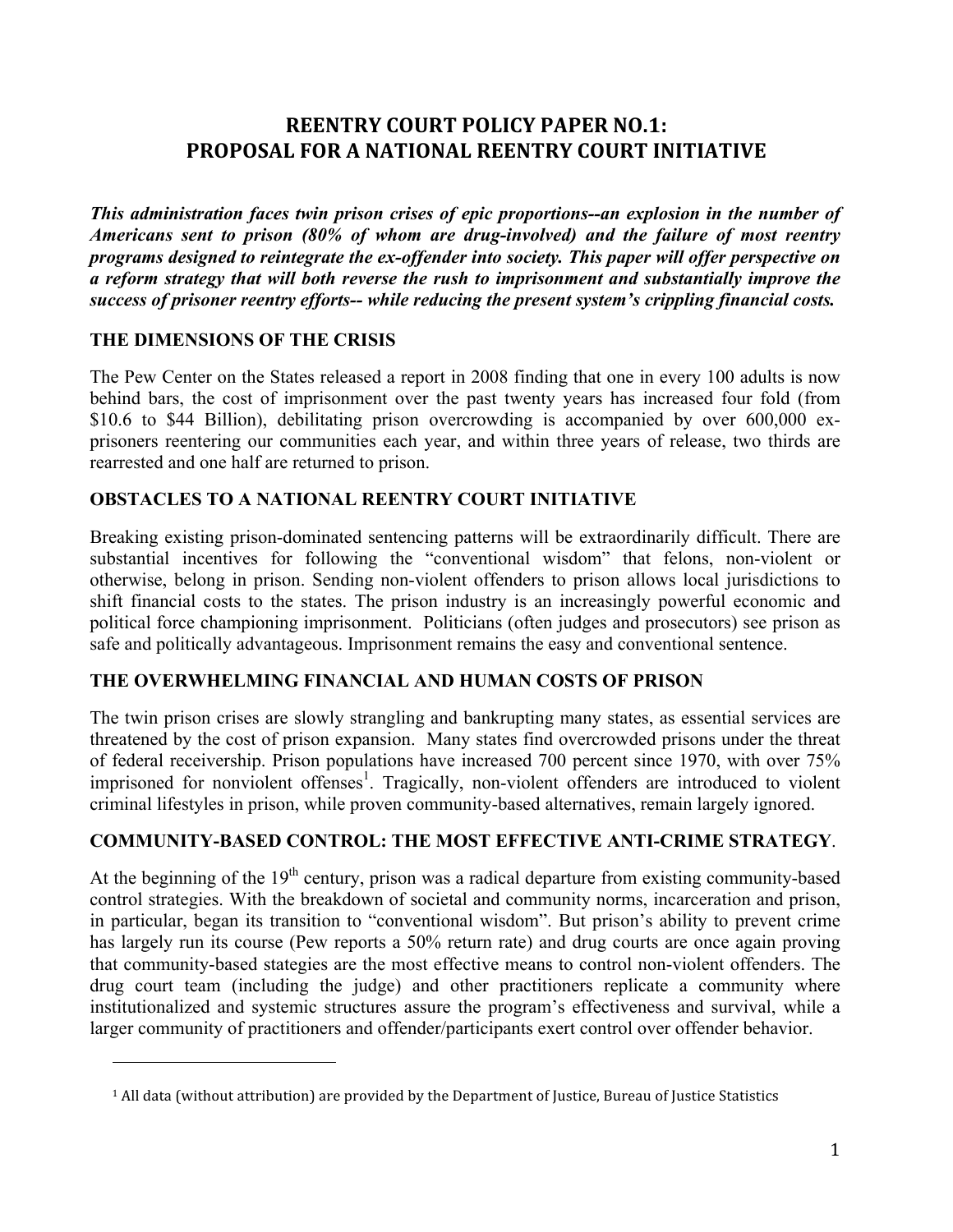# **REENTRY COURT POLICY PAPER NO.1: EXPOOSAL FOR A NATIONAL REENTRY COURT INITIATIVE**

*This administration faces twin prison crises of epic proportions--an explosion in the number of Americans sent to prison (80% of whom are drug-involved) and the failure of most reentry programs designed to reintegrate the ex-offender into society. This paper will offer perspective on a reform strategy that will both reverse the rush to imprisonment and substantially improve the success of prisoner reentry efforts-- while reducing the present system's crippling financial costs.*

#### **THE DIMENSIONS OF THE CRISIS**

!!!!!!!!!!!!!!!!!!!!!!!!!!!!!!!!!!!!!!!!!!!!!!!!!!!!!!!

The Pew Center on the States released a report in 2008 finding that one in every 100 adults is now behind bars, the cost of imprisonment over the past twenty years has increased four fold (from \$10.6 to \$44 Billion), debilitating prison overcrowding is accompanied by over 600,000 exprisoners reentering our communities each year, and within three years of release, two thirds are rearrested and one half are returned to prison.

#### **OBSTACLES TO A NATIONAL REENTRY COURT INITIATIVE**

Breaking existing prison-dominated sentencing patterns will be extraordinarily difficult. There are substantial incentives for following the "conventional wisdom" that felons, non-violent or otherwise, belong in prison. Sending non-violent offenders to prison allows local jurisdictions to shift financial costs to the states. The prison industry is an increasingly powerful economic and political force championing imprisonment. Politicians (often judges and prosecutors) see prison as safe and politically advantageous. Imprisonment remains the easy and conventional sentence.

#### **THE OVERWHELMING FINANCIAL AND HUMAN COSTS OF PRISON**

The twin prison crises are slowly strangling and bankrupting many states, as essential services are threatened by the cost of prison expansion. Many states find overcrowded prisons under the threat of federal receivership. Prison populations have increased 700 percent since 1970, with over 75% imprisoned for nonviolent offenses<sup>1</sup>. Tragically, non-violent offenders are introduced to violent criminal lifestyles in prison, while proven community-based alternatives, remain largely ignored.

### **COMMUNITY-BASED CONTROL: THE MOST EFFECTIVE ANTI-CRIME STRATEGY**.

At the beginning of the  $19<sup>th</sup>$  century, prison was a radical departure from existing community-based control strategies. With the breakdown of societal and community norms, incarceration and prison, in particular, began its transition to "conventional wisdom". But prison's ability to prevent crime has largely run its course (Pew reports a 50% return rate) and drug courts are once again proving that community-based stategies are the most effective means to control non-violent offenders. The drug court team (including the judge) and other practitioners replicate a community where institutionalized and systemic structures assure the program's effectiveness and survival, while a larger community of practitioners and offender/participants exert control over offender behavior.

<sup>&</sup>lt;sup>1</sup> All data (without attribution) are provided by the Department of Justice, Bureau of Justice Statistics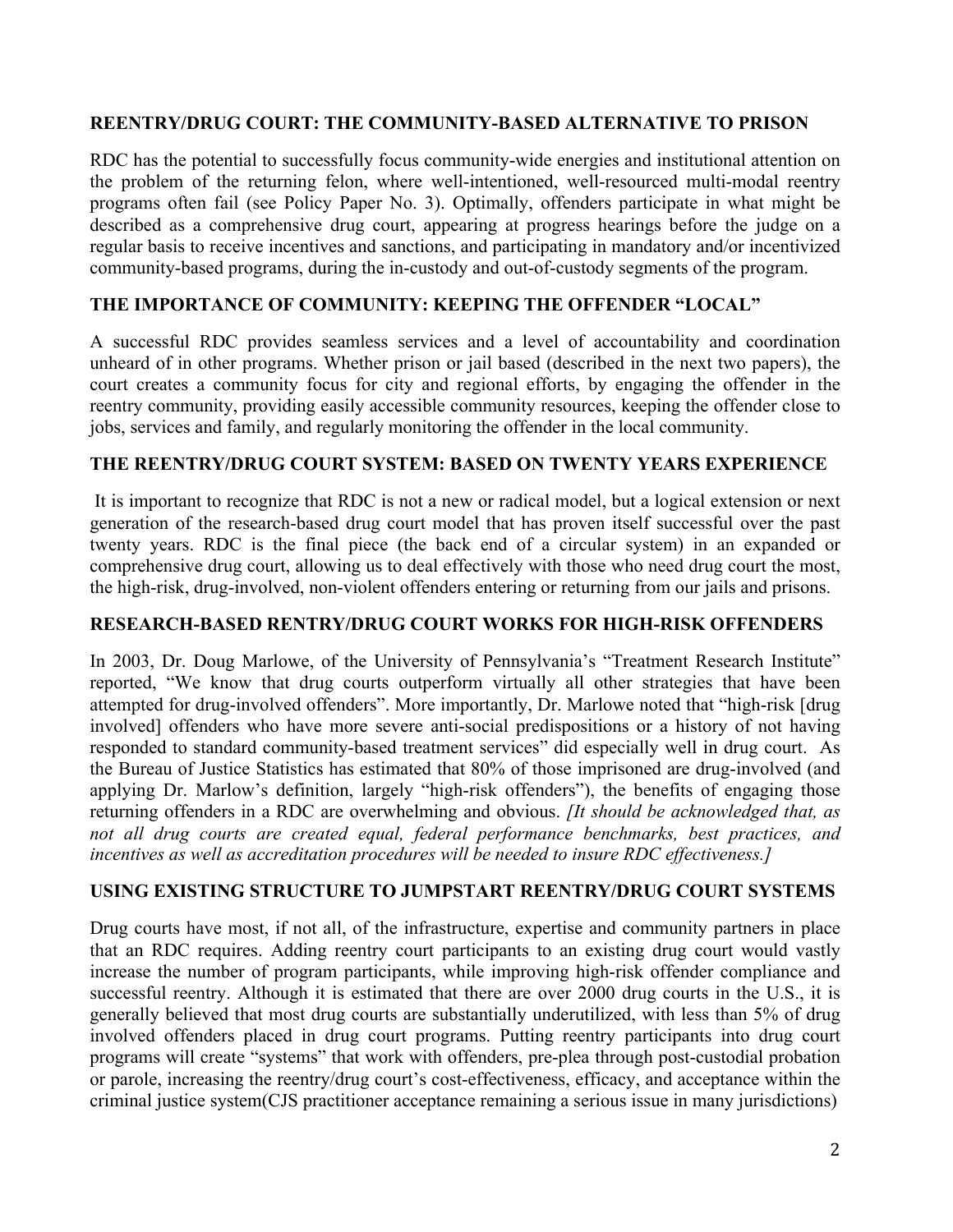#### **REENTRY/DRUG COURT: THE COMMUNITY-BASED ALTERNATIVE TO PRISON**

RDC has the potential to successfully focus community-wide energies and institutional attention on the problem of the returning felon, where well-intentioned, well-resourced multi-modal reentry programs often fail (see Policy Paper No. 3). Optimally, offenders participate in what might be described as a comprehensive drug court, appearing at progress hearings before the judge on a regular basis to receive incentives and sanctions, and participating in mandatory and/or incentivized community-based programs, during the in-custody and out-of-custody segments of the program.

#### **THE IMPORTANCE OF COMMUNITY: KEEPING THE OFFENDER "LOCAL"**

A successful RDC provides seamless services and a level of accountability and coordination unheard of in other programs. Whether prison or jail based (described in the next two papers), the court creates a community focus for city and regional efforts, by engaging the offender in the reentry community, providing easily accessible community resources, keeping the offender close to jobs, services and family, and regularly monitoring the offender in the local community.

#### **THE REENTRY/DRUG COURT SYSTEM: BASED ON TWENTY YEARS EXPERIENCE**

It is important to recognize that RDC is not a new or radical model, but a logical extension or next generation of the research-based drug court model that has proven itself successful over the past twenty years. RDC is the final piece (the back end of a circular system) in an expanded or comprehensive drug court, allowing us to deal effectively with those who need drug court the most, the high-risk, drug-involved, non-violent offenders entering or returning from our jails and prisons.

#### **RESEARCH-BASED RENTRY/DRUG COURT WORKS FOR HIGH-RISK OFFENDERS**

In 2003, Dr. Doug Marlowe, of the University of Pennsylvania's "Treatment Research Institute" reported, "We know that drug courts outperform virtually all other strategies that have been attempted for drug-involved offenders". More importantly, Dr. Marlowe noted that "high-risk [drug involved] offenders who have more severe anti-social predispositions or a history of not having responded to standard community-based treatment services" did especially well in drug court. As the Bureau of Justice Statistics has estimated that 80% of those imprisoned are drug-involved (and applying Dr. Marlow's definition, largely "high-risk offenders"), the benefits of engaging those returning offenders in a RDC are overwhelming and obvious. *[It should be acknowledged that, as not all drug courts are created equal, federal performance benchmarks, best practices, and incentives as well as accreditation procedures will be needed to insure RDC effectiveness.]*

#### **USING EXISTING STRUCTURE TO JUMPSTART REENTRY/DRUG COURT SYSTEMS**

Drug courts have most, if not all, of the infrastructure, expertise and community partners in place that an RDC requires. Adding reentry court participants to an existing drug court would vastly increase the number of program participants, while improving high-risk offender compliance and successful reentry. Although it is estimated that there are over 2000 drug courts in the U.S., it is generally believed that most drug courts are substantially underutilized, with less than 5% of drug involved offenders placed in drug court programs. Putting reentry participants into drug court programs will create "systems" that work with offenders, pre-plea through post-custodial probation or parole, increasing the reentry/drug court's cost-effectiveness, efficacy, and acceptance within the criminal justice system(CJS practitioner acceptance remaining a serious issue in many jurisdictions)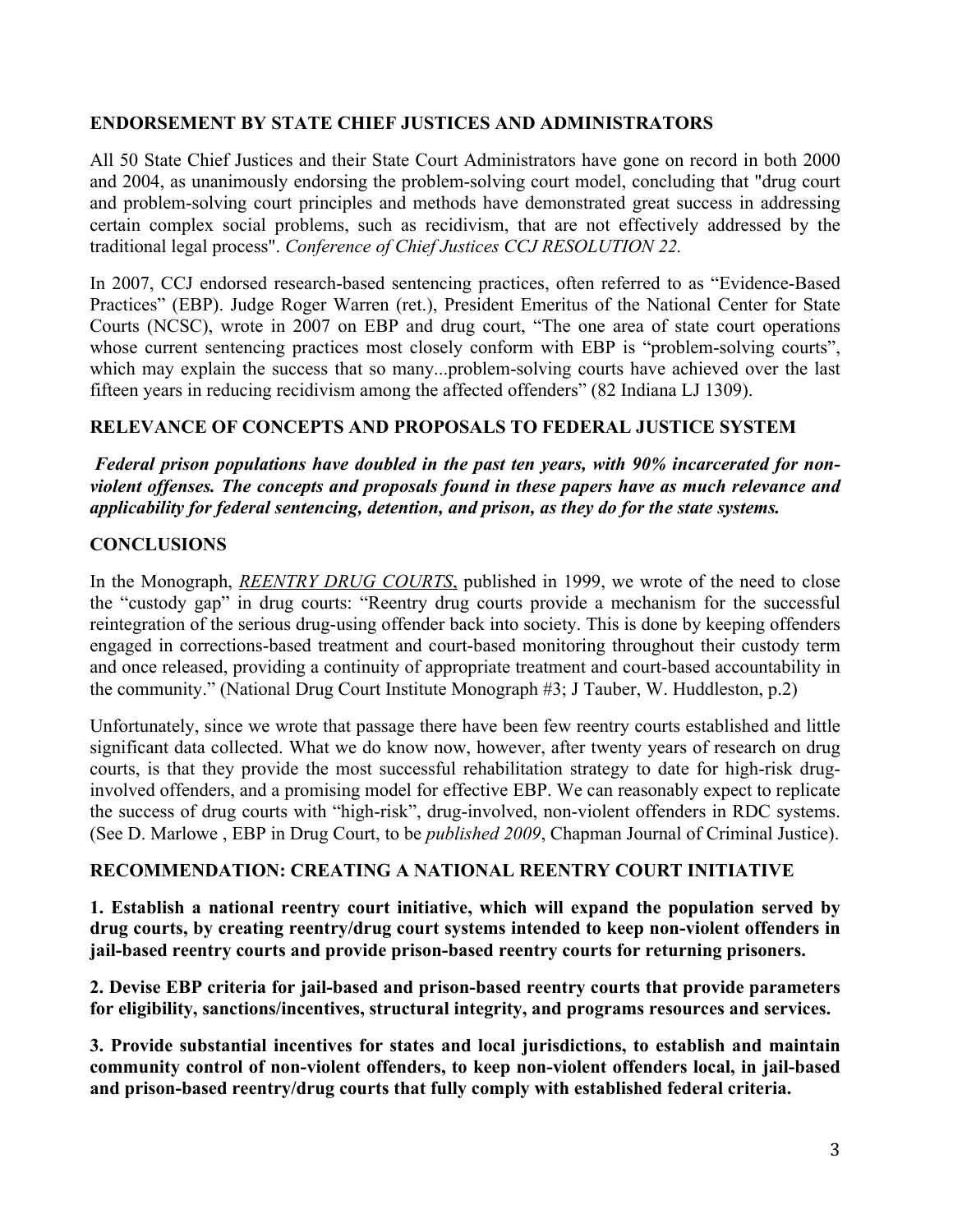#### **ENDORSEMENT BY STATE CHIEF JUSTICES AND ADMINISTRATORS**

All 50 State Chief Justices and their State Court Administrators have gone on record in both 2000 and 2004, as unanimously endorsing the problem-solving court model, concluding that "drug court and problem-solving court principles and methods have demonstrated great success in addressing certain complex social problems, such as recidivism, that are not effectively addressed by the traditional legal process". *Conference of Chief Justices CCJ RESOLUTION 22.*

In 2007, CCJ endorsed research-based sentencing practices, often referred to as "Evidence-Based Practices" (EBP). Judge Roger Warren (ret.), President Emeritus of the National Center for State Courts (NCSC), wrote in 2007 on EBP and drug court, "The one area of state court operations whose current sentencing practices most closely conform with EBP is "problem-solving courts", which may explain the success that so many...problem-solving courts have achieved over the last fifteen years in reducing recidivism among the affected offenders" (82 Indiana LJ 1309).

#### **RELEVANCE OF CONCEPTS AND PROPOSALS TO FEDERAL JUSTICE SYSTEM**

 *Federal prison populations have doubled in the past ten years, with 90% incarcerated for nonviolent offenses. The concepts and proposals found in these papers have as much relevance and applicability for federal sentencing, detention, and prison, as they do for the state systems.* 

#### **CONCLUSIONS**

In the Monograph, *REENTRY DRUG COURTS*, published in 1999, we wrote of the need to close the "custody gap" in drug courts: "Reentry drug courts provide a mechanism for the successful reintegration of the serious drug-using offender back into society. This is done by keeping offenders engaged in corrections-based treatment and court-based monitoring throughout their custody term and once released, providing a continuity of appropriate treatment and court-based accountability in the community." (National Drug Court Institute Monograph #3; J Tauber, W. Huddleston, p.2)

Unfortunately, since we wrote that passage there have been few reentry courts established and little significant data collected. What we do know now, however, after twenty years of research on drug courts, is that they provide the most successful rehabilitation strategy to date for high-risk druginvolved offenders, and a promising model for effective EBP. We can reasonably expect to replicate the success of drug courts with "high-risk", drug-involved, non-violent offenders in RDC systems. (See D. Marlowe , EBP in Drug Court, to be *published 2009*, Chapman Journal of Criminal Justice).

#### **RECOMMENDATION: CREATING A NATIONAL REENTRY COURT INITIATIVE**

**1. Establish a national reentry court initiative, which will expand the population served by drug courts, by creating reentry/drug court systems intended to keep non-violent offenders in jail-based reentry courts and provide prison-based reentry courts for returning prisoners.**

**2. Devise EBP criteria for jail-based and prison-based reentry courts that provide parameters for eligibility, sanctions/incentives, structural integrity, and programs resources and services.**

**3. Provide substantial incentives for states and local jurisdictions, to establish and maintain community control of non-violent offenders, to keep non-violent offenders local, in jail-based and prison-based reentry/drug courts that fully comply with established federal criteria.**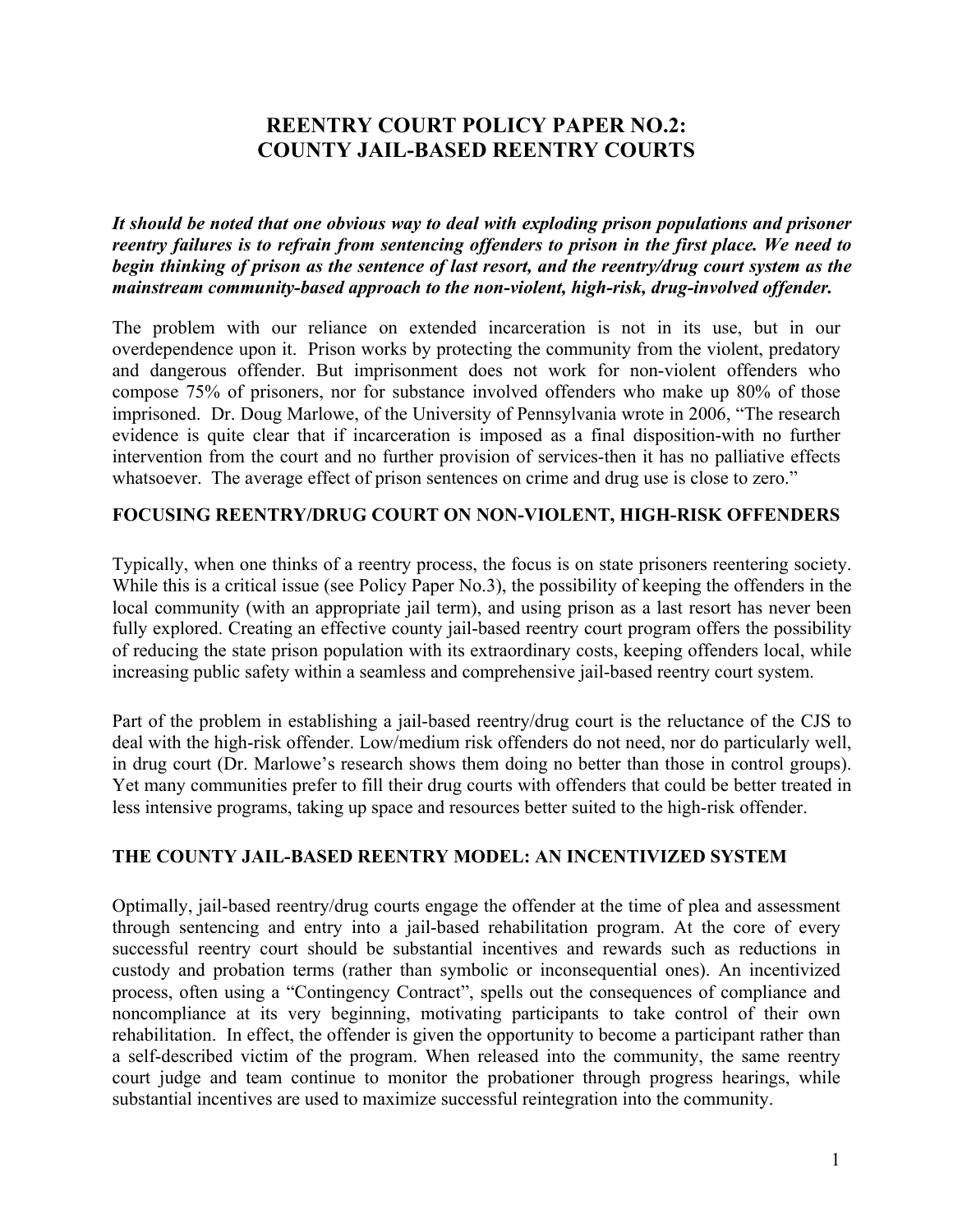# **REENTRY COURT POLICY PAPER NO.2: COUNTY JAIL-BASED REENTRY COURTS**

*It should be noted that one obvious way to deal with exploding prison populations and prisoner reentry failures is to refrain from sentencing offenders to prison in the first place. We need to begin thinking of prison as the sentence of last resort, and the reentry/drug court system as the mainstream community-based approach to the non-violent, high-risk, drug-involved offender.*

The problem with our reliance on extended incarceration is not in its use, but in our overdependence upon it. Prison works by protecting the community from the violent, predatory and dangerous offender. But imprisonment does not work for non-violent offenders who compose 75% of prisoners, nor for substance involved offenders who make up 80% of those imprisoned. Dr. Doug Marlowe, of the University of Pennsylvania wrote in 2006, "The research evidence is quite clear that if incarceration is imposed as a final disposition-with no further intervention from the court and no further provision of services-then it has no palliative effects whatsoever. The average effect of prison sentences on crime and drug use is close to zero."

#### **FOCUSING REENTRY/DRUG COURT ON NON-VIOLENT, HIGH-RISK OFFENDERS**

Typically, when one thinks of a reentry process, the focus is on state prisoners reentering society. While this is a critical issue (see Policy Paper No.3), the possibility of keeping the offenders in the local community (with an appropriate jail term), and using prison as a last resort has never been fully explored. Creating an effective county jail-based reentry court program offers the possibility of reducing the state prison population with its extraordinary costs, keeping offenders local, while increasing public safety within a seamless and comprehensive jail-based reentry court system.

Part of the problem in establishing a jail-based reentry/drug court is the reluctance of the CJS to deal with the high-risk offender. Low/medium risk offenders do not need, nor do particularly well, in drug court (Dr. Marlowe's research shows them doing no better than those in control groups). Yet many communities prefer to fill their drug courts with offenders that could be better treated in less intensive programs, taking up space and resources better suited to the high-risk offender.

#### **THE COUNTY JAIL-BASED REENTRY MODEL: AN INCENTIVIZED SYSTEM**

Optimally, jail-based reentry/drug courts engage the offender at the time of plea and assessment through sentencing and entry into a jail-based rehabilitation program. At the core of every successful reentry court should be substantial incentives and rewards such as reductions in custody and probation terms (rather than symbolic or inconsequential ones). An incentivized process, often using a "Contingency Contract", spells out the consequences of compliance and noncompliance at its very beginning, motivating participants to take control of their own rehabilitation. In effect, the offender is given the opportunity to become a participant rather than a self-described victim of the program. When released into the community, the same reentry court judge and team continue to monitor the probationer through progress hearings, while substantial incentives are used to maximize successful reintegration into the community.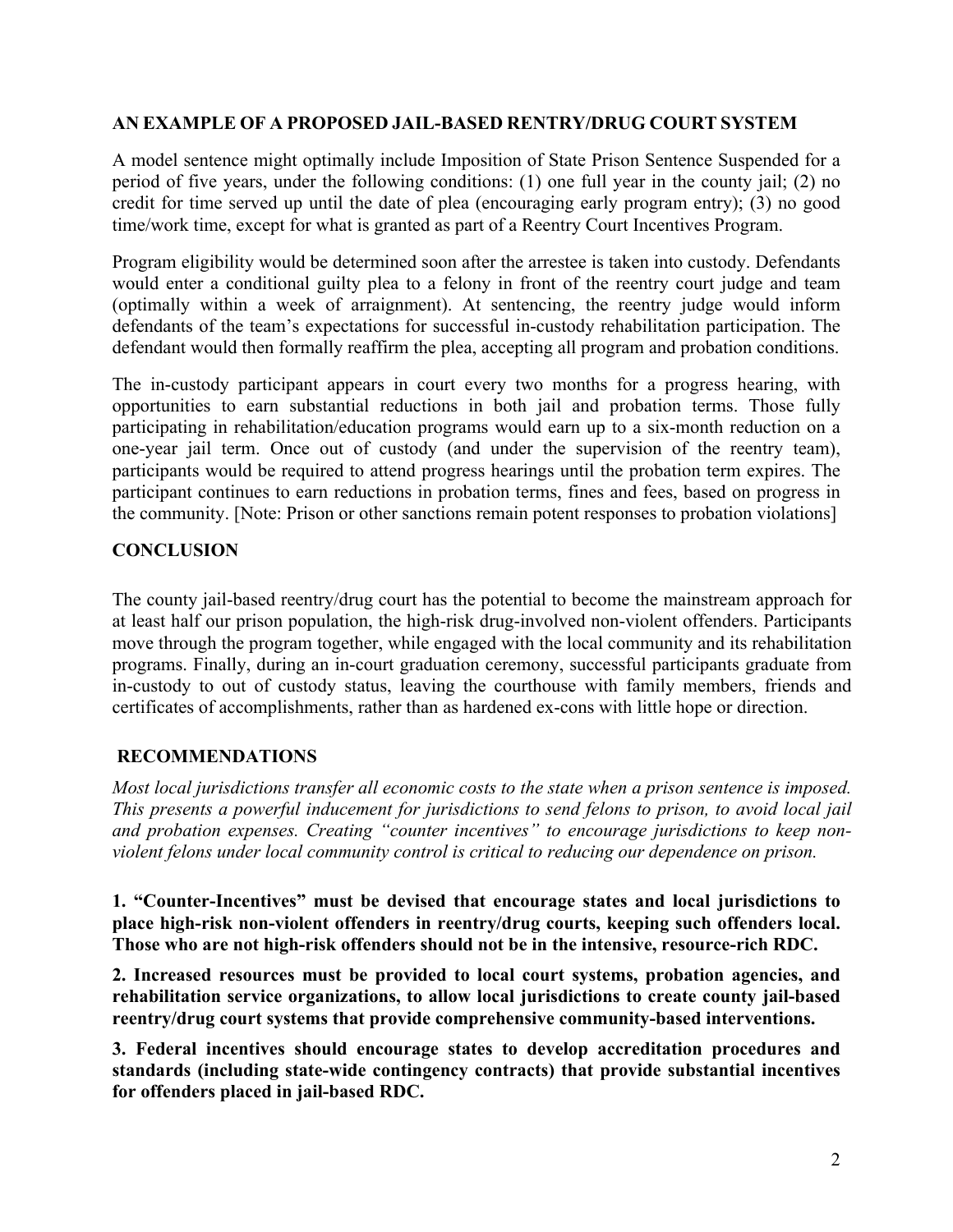#### **AN EXAMPLE OF A PROPOSED JAIL-BASED RENTRY/DRUG COURT SYSTEM**

A model sentence might optimally include Imposition of State Prison Sentence Suspended for a period of five years, under the following conditions: (1) one full year in the county jail; (2) no credit for time served up until the date of plea (encouraging early program entry); (3) no good time/work time, except for what is granted as part of a Reentry Court Incentives Program.

Program eligibility would be determined soon after the arrestee is taken into custody. Defendants would enter a conditional guilty plea to a felony in front of the reentry court judge and team (optimally within a week of arraignment). At sentencing, the reentry judge would inform defendants of the team's expectations for successful in-custody rehabilitation participation. The defendant would then formally reaffirm the plea, accepting all program and probation conditions.

The in-custody participant appears in court every two months for a progress hearing, with opportunities to earn substantial reductions in both jail and probation terms. Those fully participating in rehabilitation/education programs would earn up to a six-month reduction on a one-year jail term. Once out of custody (and under the supervision of the reentry team), participants would be required to attend progress hearings until the probation term expires. The participant continues to earn reductions in probation terms, fines and fees, based on progress in the community. [Note: Prison or other sanctions remain potent responses to probation violations]

#### **CONCLUSION**

The county jail-based reentry/drug court has the potential to become the mainstream approach for at least half our prison population, the high-risk drug-involved non-violent offenders. Participants move through the program together, while engaged with the local community and its rehabilitation programs. Finally, during an in-court graduation ceremony, successful participants graduate from in-custody to out of custody status, leaving the courthouse with family members, friends and certificates of accomplishments, rather than as hardened ex-cons with little hope or direction.

#### **RECOMMENDATIONS**

*Most local jurisdictions transfer all economic costs to the state when a prison sentence is imposed. This presents a powerful inducement for jurisdictions to send felons to prison, to avoid local jail and probation expenses. Creating "counter incentives" to encourage jurisdictions to keep nonviolent felons under local community control is critical to reducing our dependence on prison.*

**1. "Counter-Incentives" must be devised that encourage states and local jurisdictions to place high-risk non-violent offenders in reentry/drug courts, keeping such offenders local. Those who are not high-risk offenders should not be in the intensive, resource-rich RDC.**

**2. Increased resources must be provided to local court systems, probation agencies, and rehabilitation service organizations, to allow local jurisdictions to create county jail-based reentry/drug court systems that provide comprehensive community-based interventions.** 

**3. Federal incentives should encourage states to develop accreditation procedures and standards (including state-wide contingency contracts) that provide substantial incentives for offenders placed in jail-based RDC.**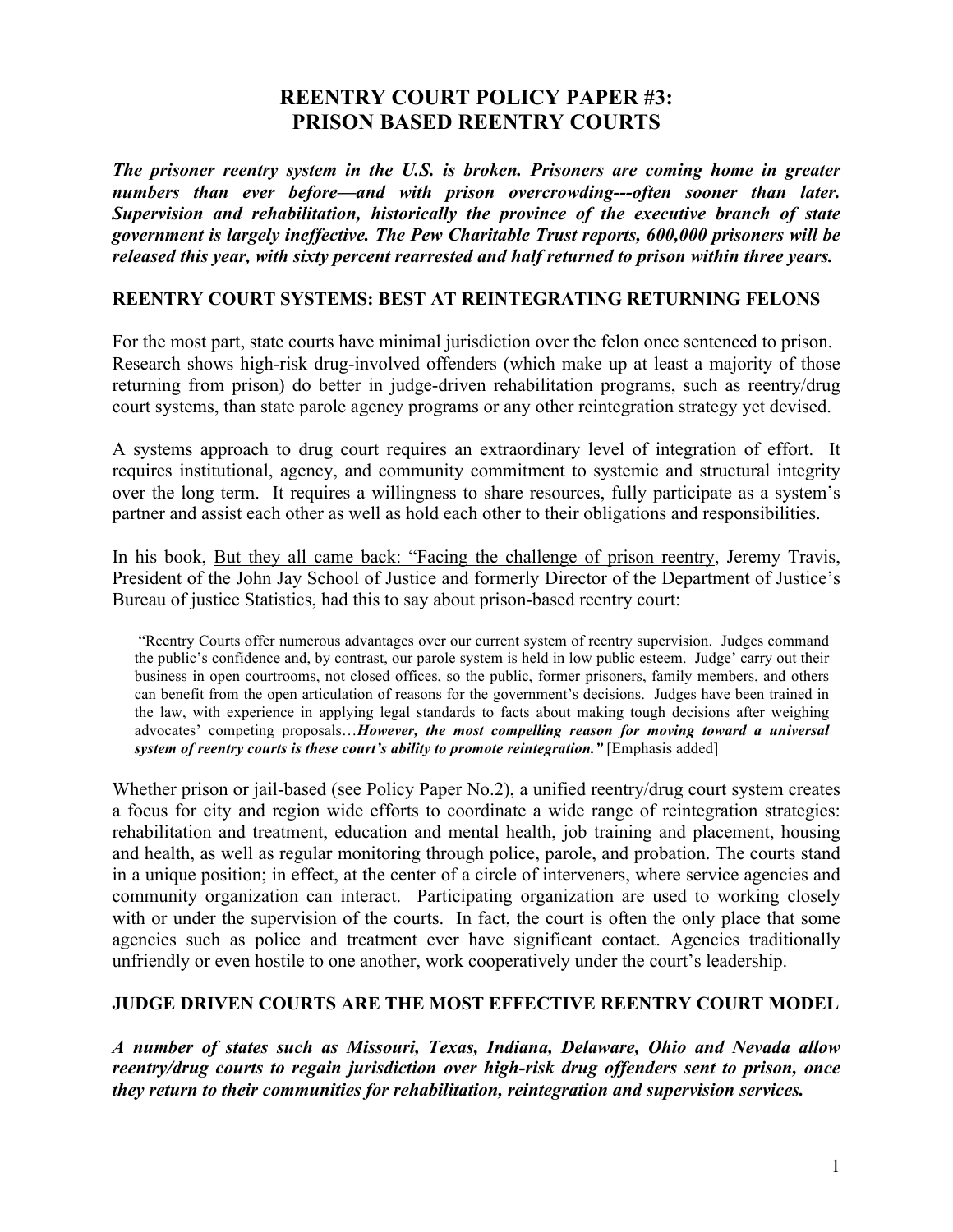# **REENTRY COURT POLICY PAPER #3: PRISON BASED REENTRY COURTS**

*The prisoner reentry system in the U.S. is broken. Prisoners are coming home in greater numbers than ever before—and with prison overcrowding---often sooner than later. Supervision and rehabilitation, historically the province of the executive branch of state government is largely ineffective. The Pew Charitable Trust reports, 600,000 prisoners will be released this year, with sixty percent rearrested and half returned to prison within three years.*

#### **REENTRY COURT SYSTEMS: BEST AT REINTEGRATING RETURNING FELONS**

For the most part, state courts have minimal jurisdiction over the felon once sentenced to prison. Research shows high-risk drug-involved offenders (which make up at least a majority of those returning from prison) do better in judge-driven rehabilitation programs, such as reentry/drug court systems, than state parole agency programs or any other reintegration strategy yet devised.

A systems approach to drug court requires an extraordinary level of integration of effort. It requires institutional, agency, and community commitment to systemic and structural integrity over the long term. It requires a willingness to share resources, fully participate as a system's partner and assist each other as well as hold each other to their obligations and responsibilities.

In his book, But they all came back: "Facing the challenge of prison reentry, Jeremy Travis, President of the John Jay School of Justice and formerly Director of the Department of Justice's Bureau of justice Statistics, had this to say about prison-based reentry court:

"Reentry Courts offer numerous advantages over our current system of reentry supervision. Judges command the public's confidence and, by contrast, our parole system is held in low public esteem. Judge' carry out their business in open courtrooms, not closed offices, so the public, former prisoners, family members, and others can benefit from the open articulation of reasons for the government's decisions. Judges have been trained in the law, with experience in applying legal standards to facts about making tough decisions after weighing advocates' competing proposals…*However, the most compelling reason for moving toward a universal system of reentry courts is these court's ability to promote reintegration."* [Emphasis added]

Whether prison or jail-based (see Policy Paper No.2), a unified reentry/drug court system creates a focus for city and region wide efforts to coordinate a wide range of reintegration strategies: rehabilitation and treatment, education and mental health, job training and placement, housing and health, as well as regular monitoring through police, parole, and probation. The courts stand in a unique position; in effect, at the center of a circle of interveners, where service agencies and community organization can interact. Participating organization are used to working closely with or under the supervision of the courts. In fact, the court is often the only place that some agencies such as police and treatment ever have significant contact. Agencies traditionally unfriendly or even hostile to one another, work cooperatively under the court's leadership.

#### **JUDGE DRIVEN COURTS ARE THE MOST EFFECTIVE REENTRY COURT MODEL**

*A number of states such as Missouri, Texas, Indiana, Delaware, Ohio and Nevada allow reentry/drug courts to regain jurisdiction over high-risk drug offenders sent to prison, once they return to their communities for rehabilitation, reintegration and supervision services.*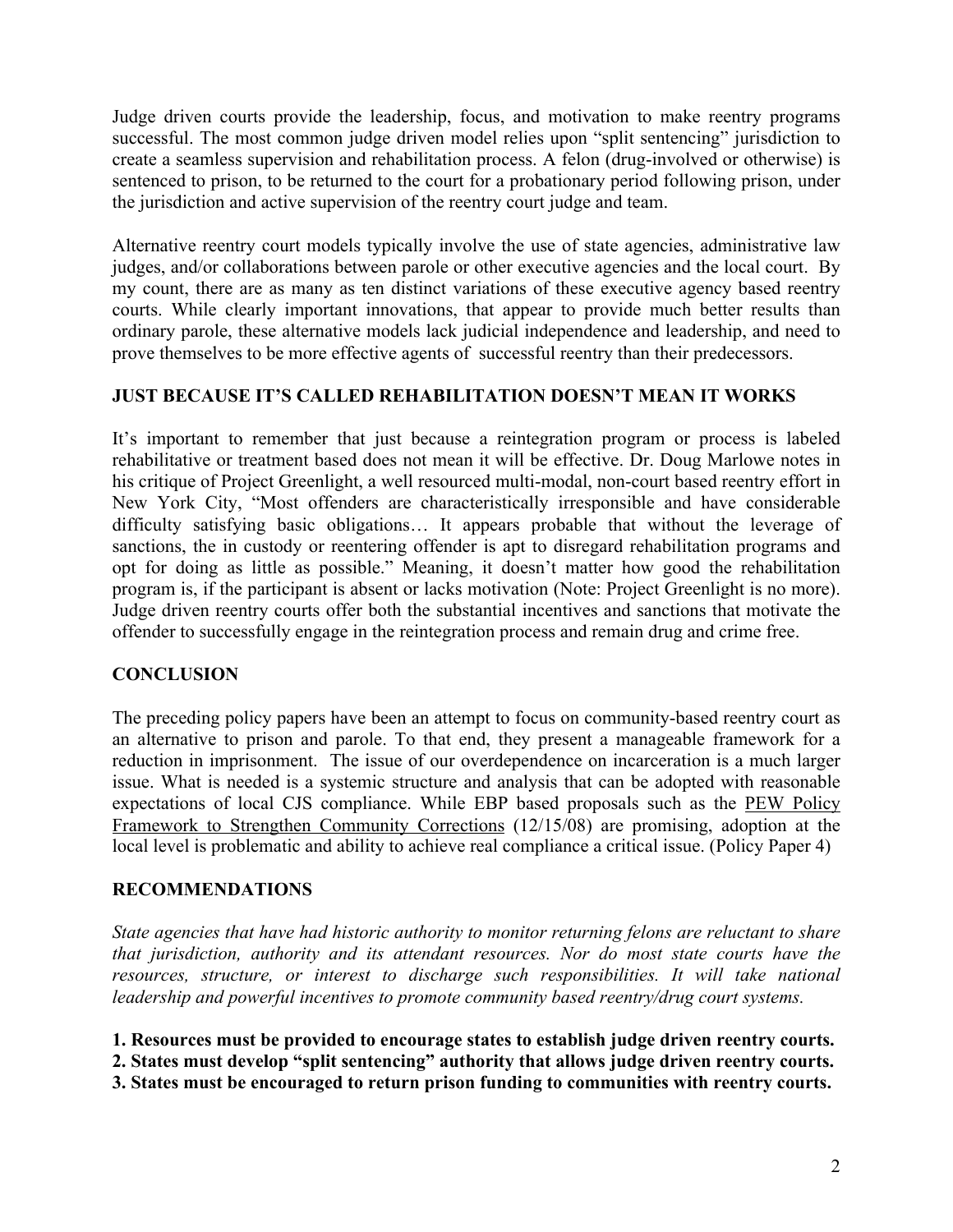Judge driven courts provide the leadership, focus, and motivation to make reentry programs successful. The most common judge driven model relies upon "split sentencing" jurisdiction to create a seamless supervision and rehabilitation process. A felon (drug-involved or otherwise) is sentenced to prison, to be returned to the court for a probationary period following prison, under the jurisdiction and active supervision of the reentry court judge and team.

Alternative reentry court models typically involve the use of state agencies, administrative law judges, and/or collaborations between parole or other executive agencies and the local court. By my count, there are as many as ten distinct variations of these executive agency based reentry courts. While clearly important innovations, that appear to provide much better results than ordinary parole, these alternative models lack judicial independence and leadership, and need to prove themselves to be more effective agents of successful reentry than their predecessors.

#### **JUST BECAUSE IT'S CALLED REHABILITATION DOESN'T MEAN IT WORKS**

It's important to remember that just because a reintegration program or process is labeled rehabilitative or treatment based does not mean it will be effective. Dr. Doug Marlowe notes in his critique of Project Greenlight, a well resourced multi-modal, non-court based reentry effort in New York City, "Most offenders are characteristically irresponsible and have considerable difficulty satisfying basic obligations… It appears probable that without the leverage of sanctions, the in custody or reentering offender is apt to disregard rehabilitation programs and opt for doing as little as possible." Meaning, it doesn't matter how good the rehabilitation program is, if the participant is absent or lacks motivation (Note: Project Greenlight is no more). Judge driven reentry courts offer both the substantial incentives and sanctions that motivate the offender to successfully engage in the reintegration process and remain drug and crime free.

#### **CONCLUSION**

The preceding policy papers have been an attempt to focus on community-based reentry court as an alternative to prison and parole. To that end, they present a manageable framework for a reduction in imprisonment. The issue of our overdependence on incarceration is a much larger issue. What is needed is a systemic structure and analysis that can be adopted with reasonable expectations of local CJS compliance. While EBP based proposals such as the PEW Policy Framework to Strengthen Community Corrections (12/15/08) are promising, adoption at the local level is problematic and ability to achieve real compliance a critical issue. (Policy Paper 4)

#### **RECOMMENDATIONS**

*State agencies that have had historic authority to monitor returning felons are reluctant to share that jurisdiction, authority and its attendant resources. Nor do most state courts have the resources, structure, or interest to discharge such responsibilities. It will take national leadership and powerful incentives to promote community based reentry/drug court systems.*

**1. Resources must be provided to encourage states to establish judge driven reentry courts.**

**2. States must develop "split sentencing" authority that allows judge driven reentry courts.**

**3. States must be encouraged to return prison funding to communities with reentry courts.**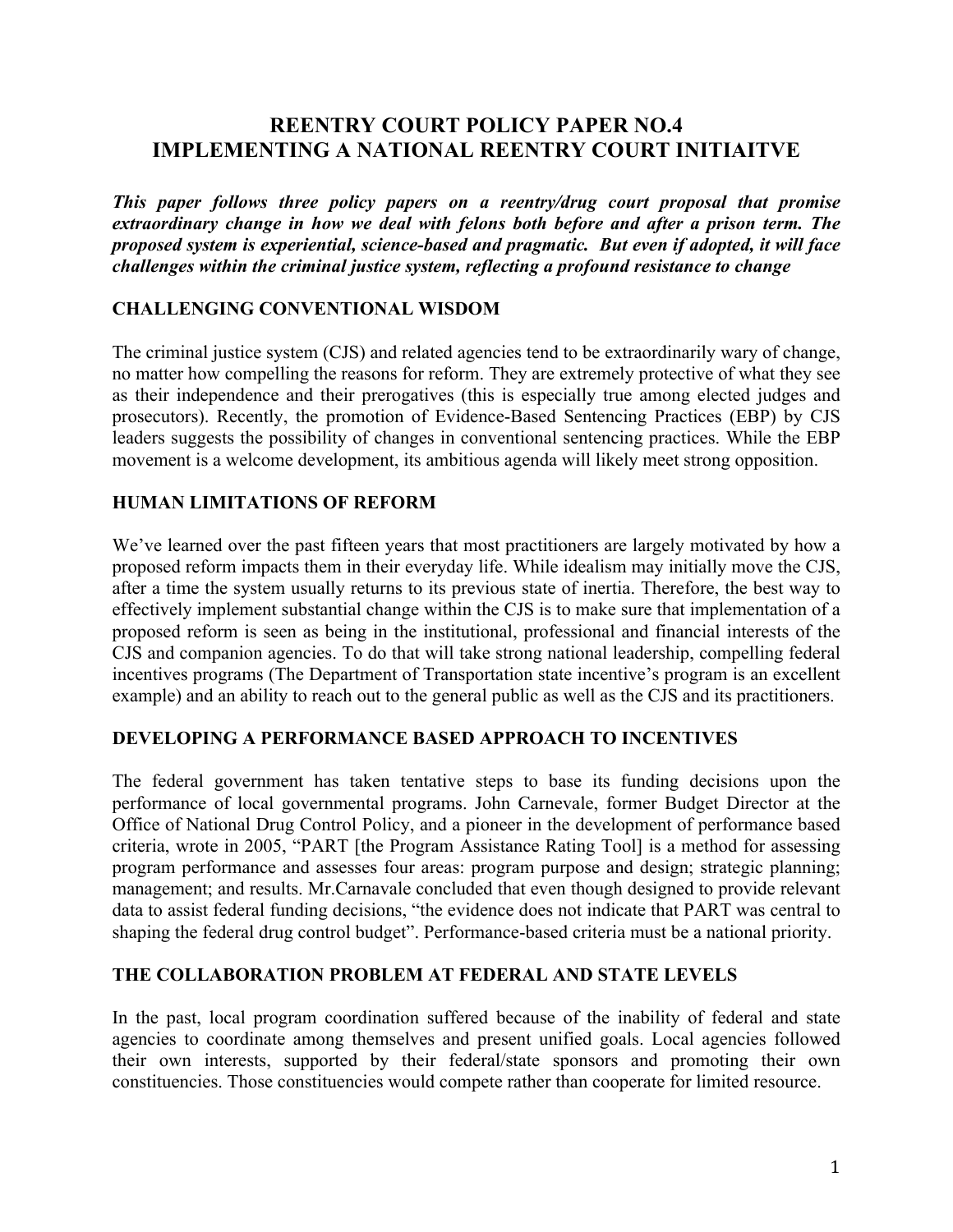# **REENTRY COURT POLICY PAPER NO.4 IMPLEMENTING A NATIONAL REENTRY COURT INITIAITVE**

*This paper follows three policy papers on a reentry/drug court proposal that promise extraordinary change in how we deal with felons both before and after a prison term. The proposed system is experiential, science-based and pragmatic. But even if adopted, it will face challenges within the criminal justice system, reflecting a profound resistance to change*

#### **CHALLENGING CONVENTIONAL WISDOM**

The criminal justice system (CJS) and related agencies tend to be extraordinarily wary of change, no matter how compelling the reasons for reform. They are extremely protective of what they see as their independence and their prerogatives (this is especially true among elected judges and prosecutors). Recently, the promotion of Evidence-Based Sentencing Practices (EBP) by CJS leaders suggests the possibility of changes in conventional sentencing practices. While the EBP movement is a welcome development, its ambitious agenda will likely meet strong opposition.

#### **HUMAN LIMITATIONS OF REFORM**

We've learned over the past fifteen years that most practitioners are largely motivated by how a proposed reform impacts them in their everyday life. While idealism may initially move the CJS, after a time the system usually returns to its previous state of inertia. Therefore, the best way to effectively implement substantial change within the CJS is to make sure that implementation of a proposed reform is seen as being in the institutional, professional and financial interests of the CJS and companion agencies. To do that will take strong national leadership, compelling federal incentives programs (The Department of Transportation state incentive's program is an excellent example) and an ability to reach out to the general public as well as the CJS and its practitioners.

#### **DEVELOPING A PERFORMANCE BASED APPROACH TO INCENTIVES**

The federal government has taken tentative steps to base its funding decisions upon the performance of local governmental programs. John Carnevale, former Budget Director at the Office of National Drug Control Policy, and a pioneer in the development of performance based criteria, wrote in 2005, "PART [the Program Assistance Rating Tool] is a method for assessing program performance and assesses four areas: program purpose and design; strategic planning; management; and results. Mr.Carnavale concluded that even though designed to provide relevant data to assist federal funding decisions, "the evidence does not indicate that PART was central to shaping the federal drug control budget". Performance-based criteria must be a national priority.

#### **THE COLLABORATION PROBLEM AT FEDERAL AND STATE LEVELS**

In the past, local program coordination suffered because of the inability of federal and state agencies to coordinate among themselves and present unified goals. Local agencies followed their own interests, supported by their federal/state sponsors and promoting their own constituencies. Those constituencies would compete rather than cooperate for limited resource.